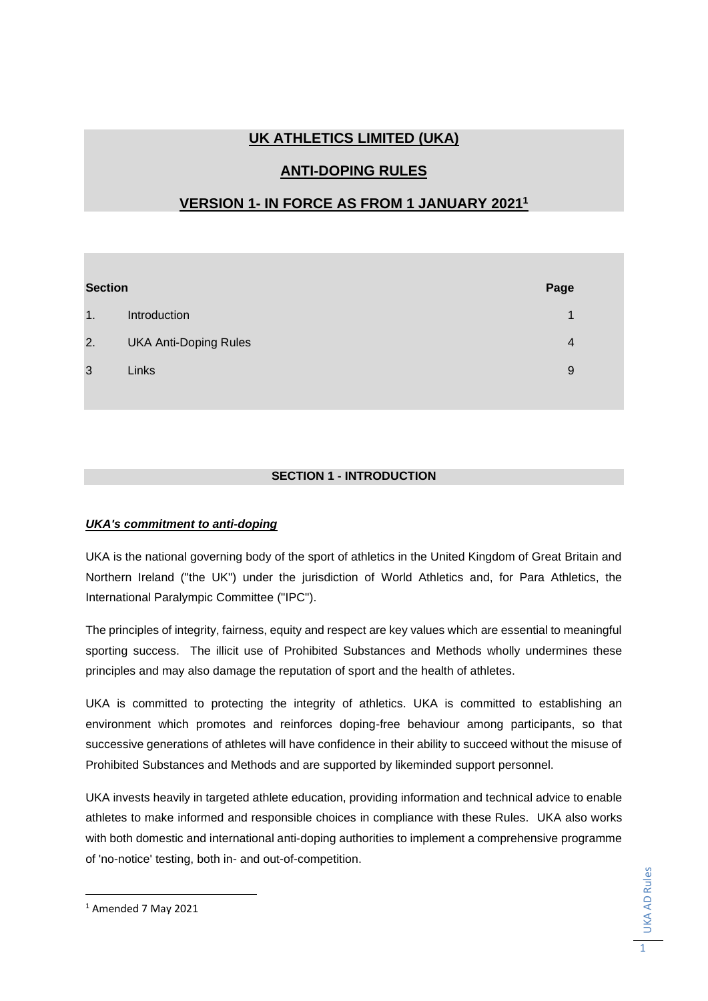# **UK ATHLETICS LIMITED (UKA)**

## **ANTI-DOPING RULES**

## **VERSION 1- IN FORCE AS FROM 1 JANUARY 2021<sup>1</sup>**

| <b>Section</b> |                              | Page           |
|----------------|------------------------------|----------------|
| 1.             | Introduction                 | 1              |
| 2.             | <b>UKA Anti-Doping Rules</b> | $\overline{4}$ |
| 3              | Links                        | 9              |

## **SECTION 1 - INTRODUCTION**

### *UKA's commitment to anti-doping*

UKA is the national governing body of the sport of athletics in the United Kingdom of Great Britain and Northern Ireland ("the UK") under the jurisdiction of World Athletics and, for Para Athletics, the International Paralympic Committee ("IPC").

The principles of integrity, fairness, equity and respect are key values which are essential to meaningful sporting success. The illicit use of Prohibited Substances and Methods wholly undermines these principles and may also damage the reputation of sport and the health of athletes.

UKA is committed to protecting the integrity of athletics. UKA is committed to establishing an environment which promotes and reinforces doping-free behaviour among participants, so that successive generations of athletes will have confidence in their ability to succeed without the misuse of Prohibited Substances and Methods and are supported by likeminded support personnel.

UKA invests heavily in targeted athlete education, providing information and technical advice to enable athletes to make informed and responsible choices in compliance with these Rules. UKA also works with both domestic and international anti-doping authorities to implement a comprehensive programme of 'no-notice' testing, both in- and out-of-competition.

<sup>1</sup> Amended 7 May 2021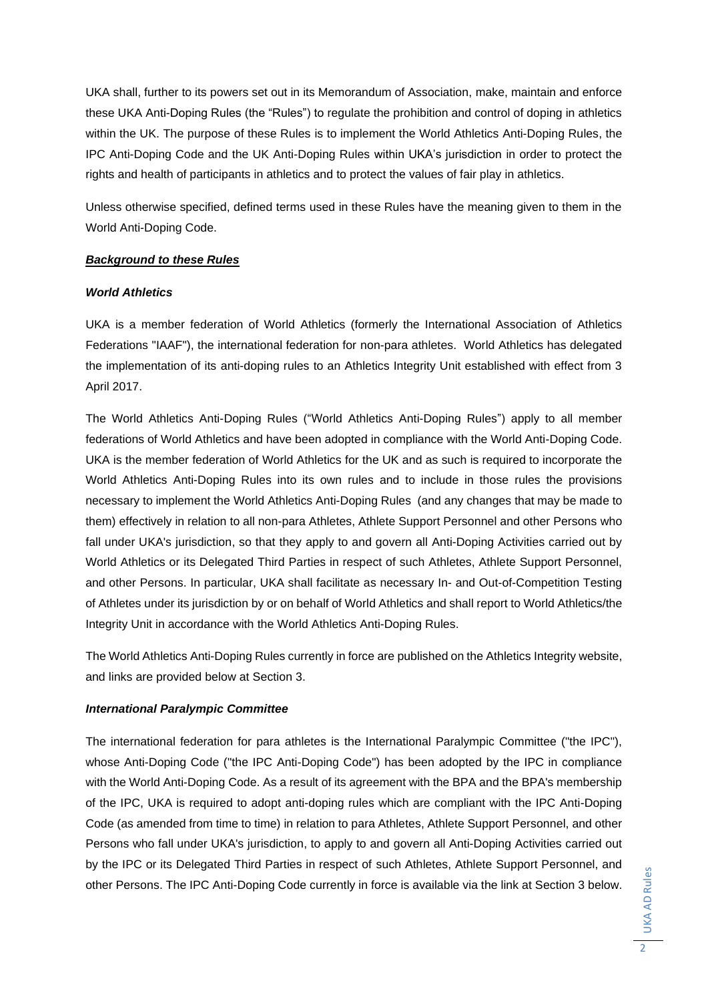UKA shall, further to its powers set out in its Memorandum of Association, make, maintain and enforce these UKA Anti-Doping Rules (the "Rules") to regulate the prohibition and control of doping in athletics within the UK. The purpose of these Rules is to implement the World Athletics Anti-Doping Rules, the IPC Anti-Doping Code and the UK Anti-Doping Rules within UKA's jurisdiction in order to protect the rights and health of participants in athletics and to protect the values of fair play in athletics.

Unless otherwise specified, defined terms used in these Rules have the meaning given to them in the World Anti-Doping Code.

### *Background to these Rules*

### *World Athletics*

UKA is a member federation of World Athletics (formerly the International Association of Athletics Federations "IAAF"), the international federation for non-para athletes. World Athletics has delegated the implementation of its anti-doping rules to an Athletics Integrity Unit established with effect from 3 April 2017.

The World Athletics Anti-Doping Rules ("World Athletics Anti-Doping Rules") apply to all member federations of World Athletics and have been adopted in compliance with the World Anti-Doping Code. UKA is the member federation of World Athletics for the UK and as such is required to incorporate the World Athletics Anti-Doping Rules into its own rules and to include in those rules the provisions necessary to implement the World Athletics Anti-Doping Rules (and any changes that may be made to them) effectively in relation to all non-para Athletes, Athlete Support Personnel and other Persons who fall under UKA's jurisdiction, so that they apply to and govern all Anti-Doping Activities carried out by World Athletics or its Delegated Third Parties in respect of such Athletes, Athlete Support Personnel, and other Persons. In particular, UKA shall facilitate as necessary In- and Out-of-Competition Testing of Athletes under its jurisdiction by or on behalf of World Athletics and shall report to World Athletics/the Integrity Unit in accordance with the World Athletics Anti-Doping Rules.

The World Athletics Anti-Doping Rules currently in force are published on the Athletics Integrity website, and links are provided below at Section 3.

### *International Paralympic Committee*

The international federation for para athletes is the International Paralympic Committee ("the IPC"), whose Anti-Doping Code ("the IPC Anti-Doping Code") has been adopted by the IPC in compliance with the World Anti-Doping Code. As a result of its agreement with the BPA and the BPA's membership of the IPC, UKA is required to adopt anti-doping rules which are compliant with the IPC Anti-Doping Code (as amended from time to time) in relation to para Athletes, Athlete Support Personnel, and other Persons who fall under UKA's jurisdiction, to apply to and govern all Anti-Doping Activities carried out by the IPC or its Delegated Third Parties in respect of such Athletes, Athlete Support Personnel, and other Persons. The IPC Anti-Doping Code currently in force is available via the link at Section 3 below.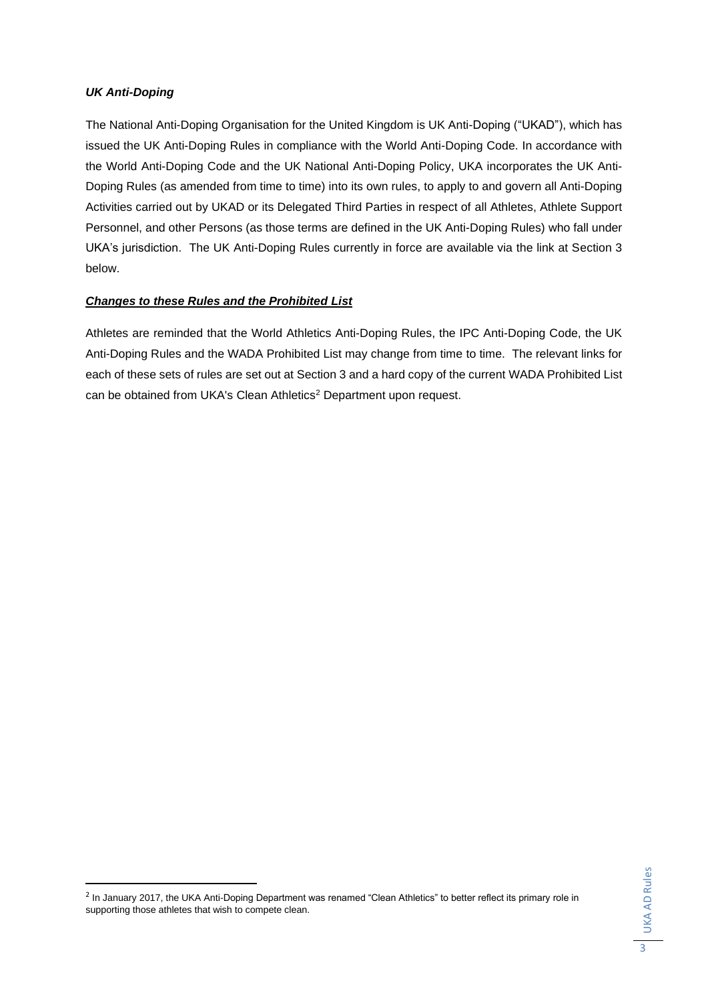### *UK Anti-Doping*

The National Anti-Doping Organisation for the United Kingdom is UK Anti-Doping ("UKAD"), which has issued the UK Anti-Doping Rules in compliance with the World Anti-Doping Code. In accordance with the World Anti-Doping Code and the UK National Anti-Doping Policy, UKA incorporates the UK Anti-Doping Rules (as amended from time to time) into its own rules, to apply to and govern all Anti-Doping Activities carried out by UKAD or its Delegated Third Parties in respect of all Athletes, Athlete Support Personnel, and other Persons (as those terms are defined in the UK Anti-Doping Rules) who fall under UKA's jurisdiction. The UK Anti-Doping Rules currently in force are available via the link at Section 3 below.

### *Changes to these Rules and the Prohibited List*

Athletes are reminded that the World Athletics Anti-Doping Rules, the IPC Anti-Doping Code, the UK Anti-Doping Rules and the WADA Prohibited List may change from time to time. The relevant links for each of these sets of rules are set out at Section 3 and a hard copy of the current WADA Prohibited List can be obtained from UKA's Clean Athletics<sup>2</sup> Department upon request.

<sup>&</sup>lt;sup>2</sup> In January 2017, the UKA Anti-Doping Department was renamed "Clean Athletics" to better reflect its primary role in supporting those athletes that wish to compete clean.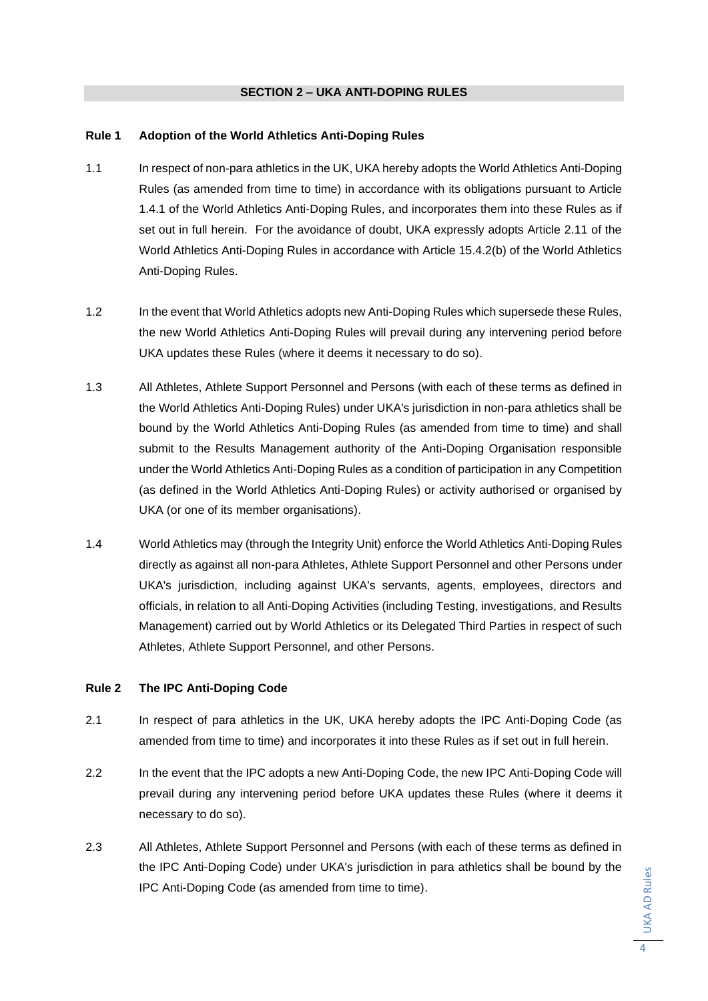#### **SECTION 2 – UKA ANTI-DOPING RULES**

#### **Rule 1 Adoption of the World Athletics Anti-Doping Rules**

- 1.1 In respect of non-para athletics in the UK, UKA hereby adopts the World Athletics Anti-Doping Rules (as amended from time to time) in accordance with its obligations pursuant to Article 1.4.1 of the World Athletics Anti-Doping Rules, and incorporates them into these Rules as if set out in full herein. For the avoidance of doubt, UKA expressly adopts Article 2.11 of the World Athletics Anti-Doping Rules in accordance with Article 15.4.2(b) of the World Athletics Anti-Doping Rules.
- 1.2 In the event that World Athletics adopts new Anti-Doping Rules which supersede these Rules, the new World Athletics Anti-Doping Rules will prevail during any intervening period before UKA updates these Rules (where it deems it necessary to do so).
- 1.3 All Athletes, Athlete Support Personnel and Persons (with each of these terms as defined in the World Athletics Anti-Doping Rules) under UKA's jurisdiction in non-para athletics shall be bound by the World Athletics Anti-Doping Rules (as amended from time to time) and shall submit to the Results Management authority of the Anti-Doping Organisation responsible under the World Athletics Anti-Doping Rules as a condition of participation in any Competition (as defined in the World Athletics Anti-Doping Rules) or activity authorised or organised by UKA (or one of its member organisations).
- 1.4 World Athletics may (through the Integrity Unit) enforce the World Athletics Anti-Doping Rules directly as against all non-para Athletes, Athlete Support Personnel and other Persons under UKA's jurisdiction, including against UKA's servants, agents, employees, directors and officials, in relation to all Anti-Doping Activities (including Testing, investigations, and Results Management) carried out by World Athletics or its Delegated Third Parties in respect of such Athletes, Athlete Support Personnel, and other Persons.

### **Rule 2 The IPC Anti-Doping Code**

- 2.1 In respect of para athletics in the UK, UKA hereby adopts the IPC Anti-Doping Code (as amended from time to time) and incorporates it into these Rules as if set out in full herein.
- 2.2 In the event that the IPC adopts a new Anti-Doping Code, the new IPC Anti-Doping Code will prevail during any intervening period before UKA updates these Rules (where it deems it necessary to do so).
- 2.3 All Athletes, Athlete Support Personnel and Persons (with each of these terms as defined in the IPC Anti-Doping Code) under UKA's jurisdiction in para athletics shall be bound by the IPC Anti-Doping Code (as amended from time to time).

UKA AD Rules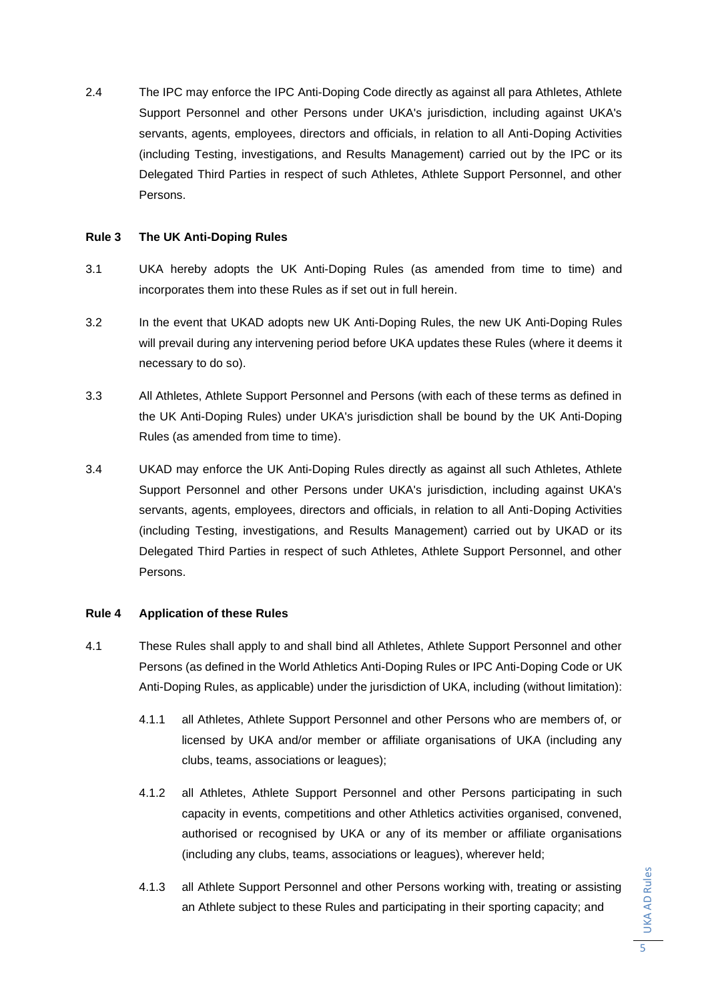2.4 The IPC may enforce the IPC Anti-Doping Code directly as against all para Athletes, Athlete Support Personnel and other Persons under UKA's jurisdiction, including against UKA's servants, agents, employees, directors and officials, in relation to all Anti-Doping Activities (including Testing, investigations, and Results Management) carried out by the IPC or its Delegated Third Parties in respect of such Athletes, Athlete Support Personnel, and other Persons.

#### **Rule 3 The UK Anti-Doping Rules**

- 3.1 UKA hereby adopts the UK Anti-Doping Rules (as amended from time to time) and incorporates them into these Rules as if set out in full herein.
- 3.2 In the event that UKAD adopts new UK Anti-Doping Rules, the new UK Anti-Doping Rules will prevail during any intervening period before UKA updates these Rules (where it deems it necessary to do so).
- 3.3 All Athletes, Athlete Support Personnel and Persons (with each of these terms as defined in the UK Anti-Doping Rules) under UKA's jurisdiction shall be bound by the UK Anti-Doping Rules (as amended from time to time).
- 3.4 UKAD may enforce the UK Anti-Doping Rules directly as against all such Athletes, Athlete Support Personnel and other Persons under UKA's jurisdiction, including against UKA's servants, agents, employees, directors and officials, in relation to all Anti-Doping Activities (including Testing, investigations, and Results Management) carried out by UKAD or its Delegated Third Parties in respect of such Athletes, Athlete Support Personnel, and other Persons.

### **Rule 4 Application of these Rules**

- 4.1 These Rules shall apply to and shall bind all Athletes, Athlete Support Personnel and other Persons (as defined in the World Athletics Anti-Doping Rules or IPC Anti-Doping Code or UK Anti-Doping Rules, as applicable) under the jurisdiction of UKA, including (without limitation):
	- 4.1.1 all Athletes, Athlete Support Personnel and other Persons who are members of, or licensed by UKA and/or member or affiliate organisations of UKA (including any clubs, teams, associations or leagues);
	- 4.1.2 all Athletes, Athlete Support Personnel and other Persons participating in such capacity in events, competitions and other Athletics activities organised, convened, authorised or recognised by UKA or any of its member or affiliate organisations (including any clubs, teams, associations or leagues), wherever held;
	- 4.1.3 all Athlete Support Personnel and other Persons working with, treating or assisting an Athlete subject to these Rules and participating in their sporting capacity; and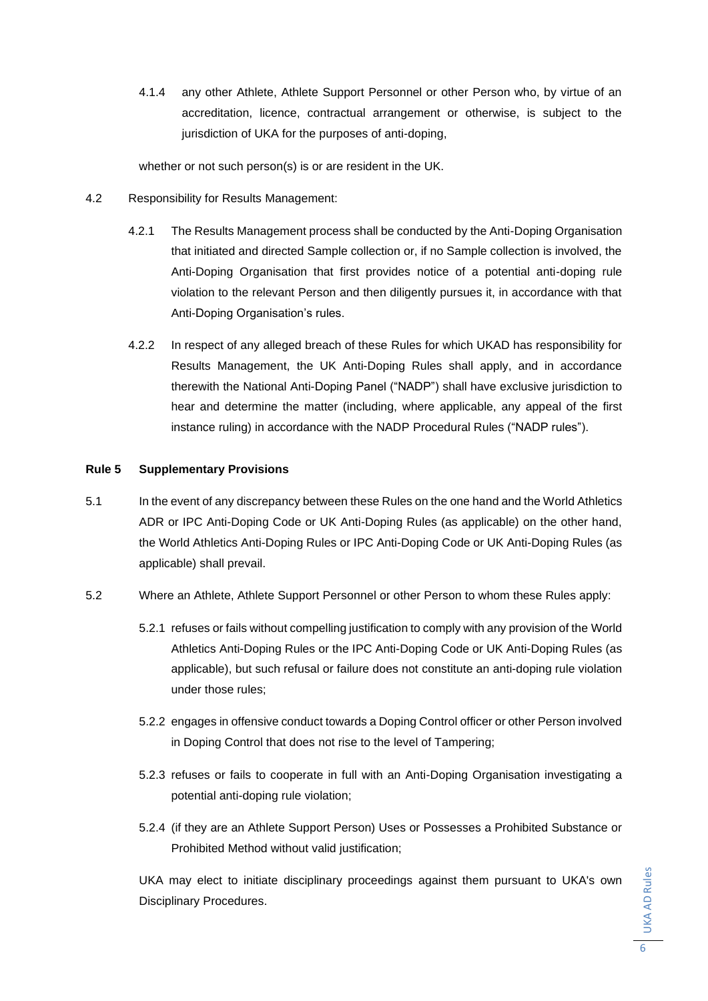4.1.4 any other Athlete, Athlete Support Personnel or other Person who, by virtue of an accreditation, licence, contractual arrangement or otherwise, is subject to the jurisdiction of UKA for the purposes of anti-doping,

whether or not such person(s) is or are resident in the UK.

- 4.2 Responsibility for Results Management:
	- 4.2.1 The Results Management process shall be conducted by the Anti-Doping Organisation that initiated and directed Sample collection or, if no Sample collection is involved, the Anti-Doping Organisation that first provides notice of a potential anti-doping rule violation to the relevant Person and then diligently pursues it, in accordance with that Anti-Doping Organisation's rules.
	- 4.2.2 In respect of any alleged breach of these Rules for which UKAD has responsibility for Results Management, the UK Anti-Doping Rules shall apply, and in accordance therewith the National Anti-Doping Panel ("NADP") shall have exclusive jurisdiction to hear and determine the matter (including, where applicable, any appeal of the first instance ruling) in accordance with the NADP Procedural Rules ("NADP rules").

### **Rule 5 Supplementary Provisions**

- 5.1 In the event of any discrepancy between these Rules on the one hand and the World Athletics ADR or IPC Anti-Doping Code or UK Anti-Doping Rules (as applicable) on the other hand, the World Athletics Anti-Doping Rules or IPC Anti-Doping Code or UK Anti-Doping Rules (as applicable) shall prevail.
- 5.2 Where an Athlete, Athlete Support Personnel or other Person to whom these Rules apply:
	- 5.2.1 refuses or fails without compelling justification to comply with any provision of the World Athletics Anti-Doping Rules or the IPC Anti-Doping Code or UK Anti-Doping Rules (as applicable), but such refusal or failure does not constitute an anti-doping rule violation under those rules;
	- 5.2.2 engages in offensive conduct towards a Doping Control officer or other Person involved in Doping Control that does not rise to the level of Tampering;
	- 5.2.3 refuses or fails to cooperate in full with an Anti-Doping Organisation investigating a potential anti-doping rule violation;
	- 5.2.4 (if they are an Athlete Support Person) Uses or Possesses a Prohibited Substance or Prohibited Method without valid justification;

UKA may elect to initiate disciplinary proceedings against them pursuant to UKA's own Disciplinary Procedures.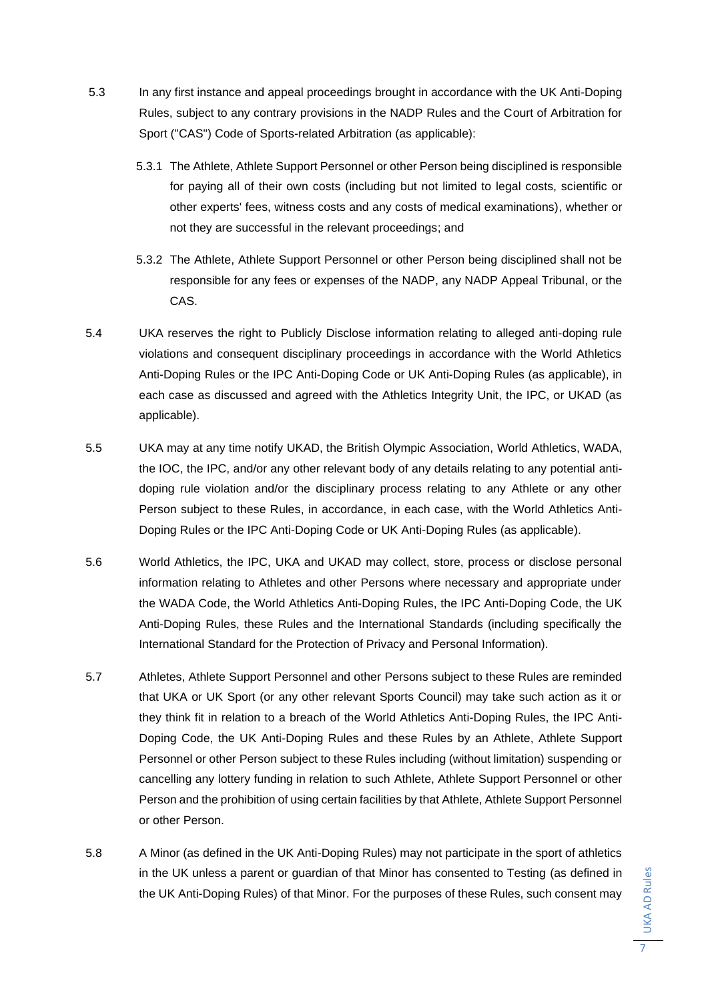- 5.3 In any first instance and appeal proceedings brought in accordance with the UK Anti-Doping Rules, subject to any contrary provisions in the NADP Rules and the Court of Arbitration for Sport ("CAS") Code of Sports-related Arbitration (as applicable):
	- 5.3.1 The Athlete, Athlete Support Personnel or other Person being disciplined is responsible for paying all of their own costs (including but not limited to legal costs, scientific or other experts' fees, witness costs and any costs of medical examinations), whether or not they are successful in the relevant proceedings; and
	- 5.3.2 The Athlete, Athlete Support Personnel or other Person being disciplined shall not be responsible for any fees or expenses of the NADP, any NADP Appeal Tribunal, or the CAS.
- 5.4 UKA reserves the right to Publicly Disclose information relating to alleged anti-doping rule violations and consequent disciplinary proceedings in accordance with the World Athletics Anti-Doping Rules or the IPC Anti-Doping Code or UK Anti-Doping Rules (as applicable), in each case as discussed and agreed with the Athletics Integrity Unit, the IPC, or UKAD (as applicable).
- 5.5 UKA may at any time notify UKAD, the British Olympic Association, World Athletics, WADA, the IOC, the IPC, and/or any other relevant body of any details relating to any potential antidoping rule violation and/or the disciplinary process relating to any Athlete or any other Person subject to these Rules, in accordance, in each case, with the World Athletics Anti-Doping Rules or the IPC Anti-Doping Code or UK Anti-Doping Rules (as applicable).
- 5.6 World Athletics, the IPC, UKA and UKAD may collect, store, process or disclose personal information relating to Athletes and other Persons where necessary and appropriate under the WADA Code, the World Athletics Anti-Doping Rules, the IPC Anti-Doping Code, the UK Anti-Doping Rules, these Rules and the International Standards (including specifically the International Standard for the Protection of Privacy and Personal Information).
- 5.7 Athletes, Athlete Support Personnel and other Persons subject to these Rules are reminded that UKA or UK Sport (or any other relevant Sports Council) may take such action as it or they think fit in relation to a breach of the World Athletics Anti-Doping Rules, the IPC Anti-Doping Code, the UK Anti-Doping Rules and these Rules by an Athlete, Athlete Support Personnel or other Person subject to these Rules including (without limitation) suspending or cancelling any lottery funding in relation to such Athlete, Athlete Support Personnel or other Person and the prohibition of using certain facilities by that Athlete, Athlete Support Personnel or other Person.
- 5.8 A Minor (as defined in the UK Anti-Doping Rules) may not participate in the sport of athletics in the UK unless a parent or guardian of that Minor has consented to Testing (as defined in the UK Anti-Doping Rules) of that Minor. For the purposes of these Rules, such consent may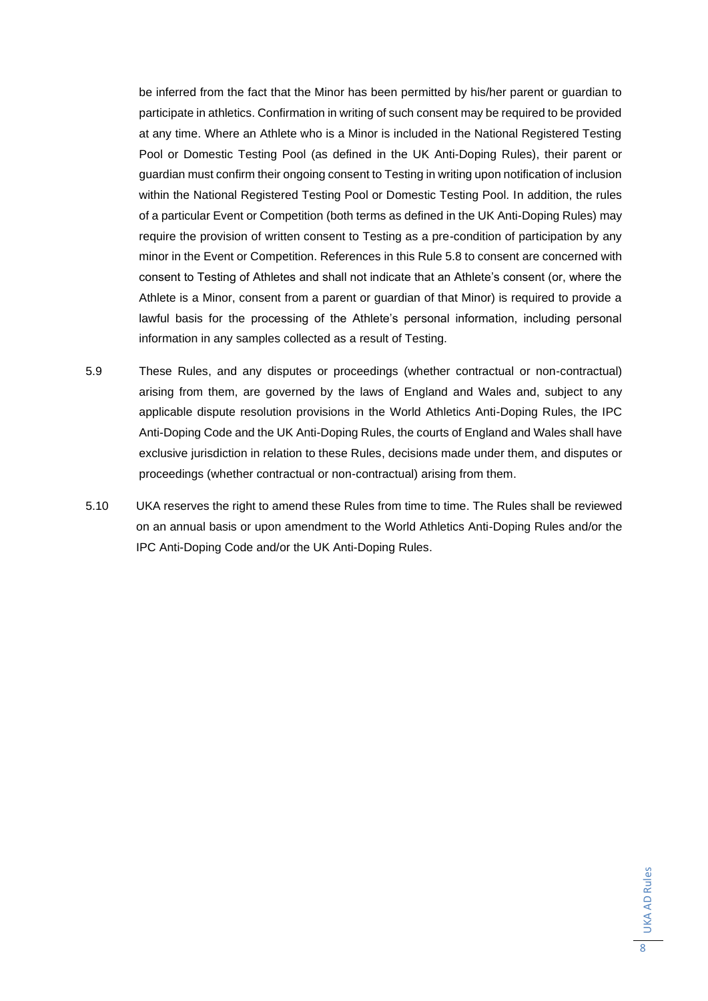be inferred from the fact that the Minor has been permitted by his/her parent or guardian to participate in athletics. Confirmation in writing of such consent may be required to be provided at any time. Where an Athlete who is a Minor is included in the National Registered Testing Pool or Domestic Testing Pool (as defined in the UK Anti-Doping Rules), their parent or guardian must confirm their ongoing consent to Testing in writing upon notification of inclusion within the National Registered Testing Pool or Domestic Testing Pool. In addition, the rules of a particular Event or Competition (both terms as defined in the UK Anti-Doping Rules) may require the provision of written consent to Testing as a pre-condition of participation by any minor in the Event or Competition. References in this Rule 5.8 to consent are concerned with consent to Testing of Athletes and shall not indicate that an Athlete's consent (or, where the Athlete is a Minor, consent from a parent or guardian of that Minor) is required to provide a lawful basis for the processing of the Athlete's personal information, including personal information in any samples collected as a result of Testing.

- 5.9 These Rules, and any disputes or proceedings (whether contractual or non-contractual) arising from them, are governed by the laws of England and Wales and, subject to any applicable dispute resolution provisions in the World Athletics Anti-Doping Rules, the IPC Anti-Doping Code and the UK Anti-Doping Rules, the courts of England and Wales shall have exclusive jurisdiction in relation to these Rules, decisions made under them, and disputes or proceedings (whether contractual or non-contractual) arising from them.
- 5.10 UKA reserves the right to amend these Rules from time to time. The Rules shall be reviewed on an annual basis or upon amendment to the World Athletics Anti-Doping Rules and/or the IPC Anti-Doping Code and/or the UK Anti-Doping Rules.